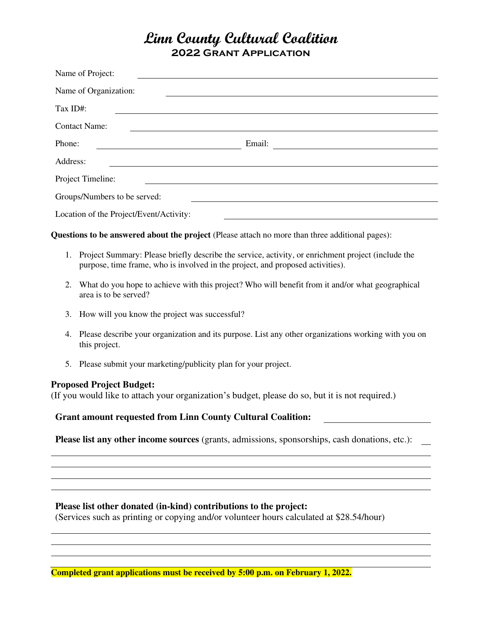# **Linn County Cultural Coalition 2022 Grant Application**

| Email: |
|--------|
|        |
|        |
|        |
|        |
|        |

**Questions to be answered about the project** (Please attach no more than three additional pages):

- 1. Project Summary: Please briefly describe the service, activity, or enrichment project (include the purpose, time frame, who is involved in the project, and proposed activities).
- 2. What do you hope to achieve with this project? Who will benefit from it and/or what geographical area is to be served?
- 3. How will you know the project was successful?
- 4. Please describe your organization and its purpose. List any other organizations working with you on this project.
- 5. Please submit your marketing/publicity plan for your project.

# **Proposed Project Budget:**

(If you would like to attach your organization's budget, please do so, but it is not required.)

### **Grant amount requested from Linn County Cultural Coalition:**

**Please list any other income sources** (grants, admissions, sponsorships, cash donations, etc.):

# **Please list other donated (in-kind) contributions to the project:**

(Services such as printing or copying and/or volunteer hours calculated at \$28.54/hour)

**Completed grant applications must be received by 5:00 p.m. on February 1, 2022.**